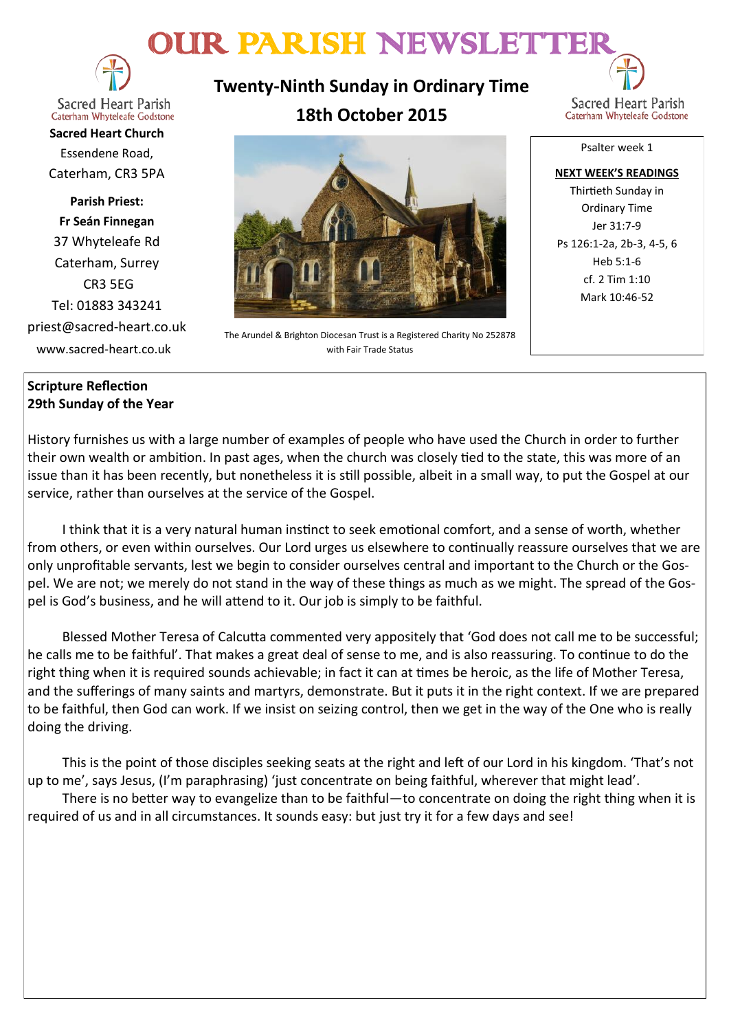# OUR PARISH NEWSLETTER



**Sacred Heart Parish** Caterham Whyteleafe Godstone

**Sacred Heart Church** Essendene Road, Caterham, CR3 5PA

**Parish Priest: Fr Seán Finnegan** 37 Whyteleafe Rd Caterham, Surrey CR3 5EG Tel: 01883 343241 priest@sacred-heart.co.uk www.sacred-heart.co.uk

# **Twenty-Ninth Sunday in Ordinary Time 18th October 2015**



The Arundel & Brighton Diocesan Trust is a Registered Charity No 252878 with Fair Trade Status

Psalter week 1

**NEXT WEEK'S READINGS** Thirtieth Sunday in Ordinary Time Jer 31:7-9 Ps 126:1-2a, 2b-3, 4-5, 6 Heb 5:1-6 cf. 2 Tim 1:10 Mark 10:46-52

# **Scripture Reflection 29th Sunday of the Year**

History furnishes us with a large number of examples of people who have used the Church in order to further their own wealth or ambition. In past ages, when the church was closely tied to the state, this was more of an issue than it has been recently, but nonetheless it is still possible, albeit in a small way, to put the Gospel at our service, rather than ourselves at the service of the Gospel.

I think that it is a very natural human instinct to seek emotional comfort, and a sense of worth, whether from others, or even within ourselves. Our Lord urges us elsewhere to continually reassure ourselves that we are only unprofitable servants, lest we begin to consider ourselves central and important to the Church or the Gospel. We are not; we merely do not stand in the way of these things as much as we might. The spread of the Gospel is God's business, and he will attend to it. Our job is simply to be faithful.

Blessed Mother Teresa of Calcutta commented very appositely that 'God does not call me to be successful; he calls me to be faithful'. That makes a great deal of sense to me, and is also reassuring. To continue to do the right thing when it is required sounds achievable; in fact it can at times be heroic, as the life of Mother Teresa, and the sufferings of many saints and martyrs, demonstrate. But it puts it in the right context. If we are prepared to be faithful, then God can work. If we insist on seizing control, then we get in the way of the One who is really doing the driving.

This is the point of those disciples seeking seats at the right and left of our Lord in his kingdom. 'That's not up to me', says Jesus, (I'm paraphrasing) 'just concentrate on being faithful, wherever that might lead'.

There is no better way to evangelize than to be faithful—to concentrate on doing the right thing when it is required of us and in all circumstances. It sounds easy: but just try it for a few days and see!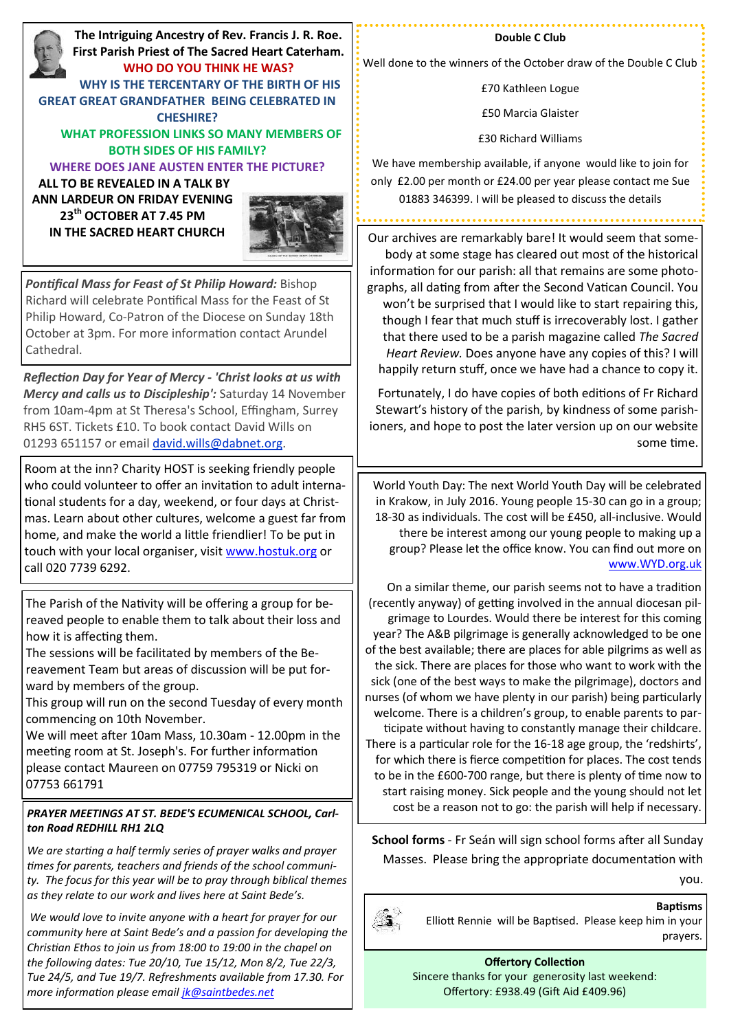**The Intriguing Ancestry of Rev. Francis J. R. Roe. First Parish Priest of The Sacred Heart Caterham. WHO DO YOU THINK HE WAS? WHY IS THE TERCENTARY OF THE BIRTH OF HIS GREAT GREAT GRANDFATHER BEING CELEBRATED IN CHESHIRE? WHAT PROFESSION LINKS SO MANY MEMBERS OF BOTH SIDES OF HIS FAMILY? WHERE DOES JANE AUSTEN ENTER THE PICTURE? ALL TO BE REVEALED IN A TALK BY ANN LARDEUR ON FRIDAY EVENING 23th OCTOBER AT 7.45 PM IN THE SACRED HEART CHURCH**



*Pontifical Mass for Feast of St Philip Howard:* Bishop Richard will celebrate Pontifical Mass for the Feast of St Philip Howard, Co-Patron of the Diocese on Sunday 18th October at 3pm. For more information contact Arundel Cathedral.

*Reflection Day for Year of Mercy - 'Christ looks at us with Mercy and calls us to Discipleship':* Saturday 14 November from 10am-4pm at St Theresa's School, Effingham, Surrey RH5 6ST. Tickets £10. To book contact David Wills on 01293 651157 or email [david.wills@dabnet.org.](mailto:david.wills@dabnet.org?subject=Jeff%20Cavins%20Day%2014%20November)

Room at the inn? Charity HOST is seeking friendly people who could volunteer to offer an invitation to adult international students for a day, weekend, or four days at Christmas. Learn about other cultures, welcome a guest far from home, and make the world a little friendlier! To be put in touch with your local organiser, visit [www.hostuk.org](http://www.hostuk.org) or call 020 7739 6292.

The Parish of the Nativity will be offering a group for bereaved people to enable them to talk about their loss and how it is affecting them.

The sessions will be facilitated by members of the Bereavement Team but areas of discussion will be put forward by members of the group.

This group will run on the second Tuesday of every month commencing on 10th November.

We will meet after 10am Mass, 10.30am - 12.00pm in the meeting room at St. Joseph's. For further information please contact Maureen on 07759 795319 or Nicki on 07753 661791

## *PRAYER MEETINGS AT ST. BEDE'S ECUMENICAL SCHOOL, Carlton Road REDHILL RH1 2LQ*

*We are starting a half termly series of prayer walks and prayer times for parents, teachers and friends of the school community. The focus for this year will be to pray through biblical themes as they relate to our work and lives here at Saint Bede's.*

*We would love to invite anyone with a heart for prayer for our community here at Saint Bede's and a passion for developing the Christian Ethos to join us from 18:00 to 19:00 in the chapel on the following dates: Tue 20/10, Tue 15/12, Mon 8/2, Tue 22/3, Tue 24/5, and Tue 19/7. Refreshments available from 17.30. For more information please email [jk@saintbedes.net](mailto:jk@saintbedes.net)*

#### **Double C Club**

Well done to the winners of the October draw of the Double C Club

£70 Kathleen Logue

£50 Marcia Glaister

£30 Richard Williams

We have membership available, if anyone would like to join for only £2.00 per month or £24.00 per year please contact me Sue 01883 346399. I will be pleased to discuss the details

Our archives are remarkably bare! It would seem that somebody at some stage has cleared out most of the historical information for our parish: all that remains are some photographs, all dating from after the Second Vatican Council. You won't be surprised that I would like to start repairing this, though I fear that much stuff is irrecoverably lost. I gather that there used to be a parish magazine called *The Sacred Heart Review.* Does anyone have any copies of this? I will happily return stuff, once we have had a chance to copy it.

Fortunately, I do have copies of both editions of Fr Richard Stewart's history of the parish, by kindness of some parishioners, and hope to post the later version up on our website some time.

World Youth Day: The next World Youth Day will be celebrated in Krakow, in July 2016. Young people 15-30 can go in a group; 18-30 as individuals. The cost will be £450, all-inclusive. Would there be interest among our young people to making up a group? Please let the office know. You can find out more on [www.WYD.org.uk](http://www.WYD.org.uk)

On a similar theme, our parish seems not to have a tradition (recently anyway) of getting involved in the annual diocesan pilgrimage to Lourdes. Would there be interest for this coming year? The A&B pilgrimage is generally acknowledged to be one of the best available; there are places for able pilgrims as well as the sick. There are places for those who want to work with the sick (one of the best ways to make the pilgrimage), doctors and nurses (of whom we have plenty in our parish) being particularly welcome. There is a children's group, to enable parents to participate without having to constantly manage their childcare. There is a particular role for the 16-18 age group, the 'redshirts', for which there is fierce competition for places. The cost tends to be in the £600-700 range, but there is plenty of time now to start raising money. Sick people and the young should not let cost be a reason not to go: the parish will help if necessary.

**School forms** - Fr Seán will sign school forms after all Sunday Masses. Please bring the appropriate documentation with

you.



### **Baptisms**

Elliott Rennie will be Baptised. Please keep him in your prayers.

**Offertory Collection** Sincere thanks for your generosity last weekend: Offertory: £938.49 (Gift Aid £409.96)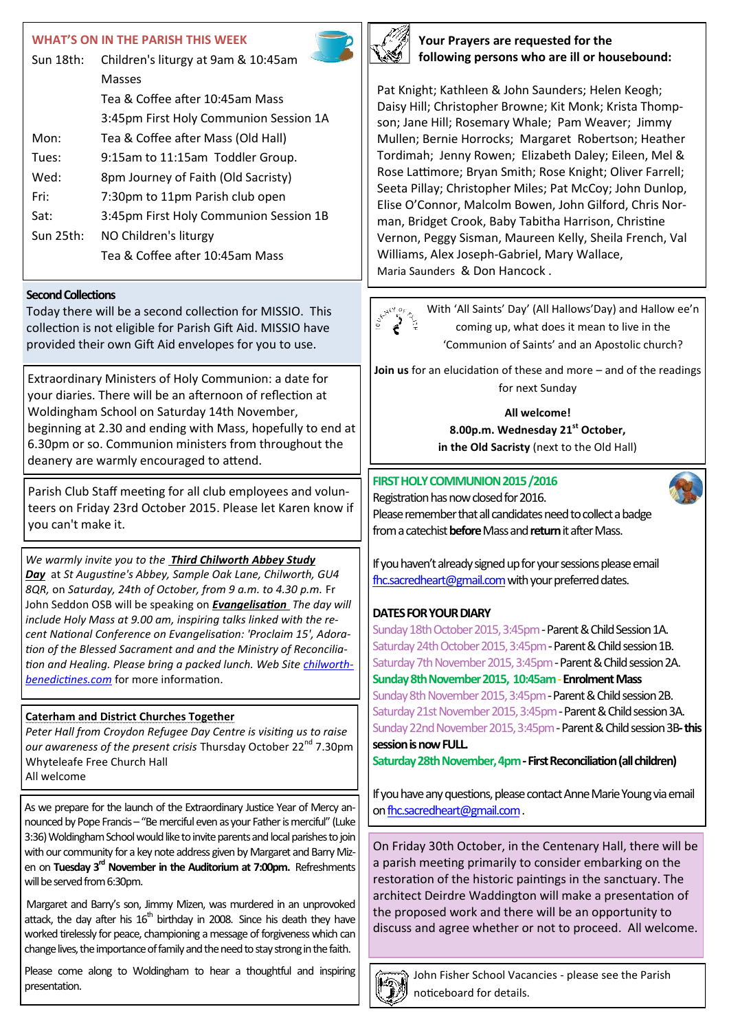# **WHAT'S ON IN THE PARISH THIS WEEK**

| Sun $18$ th: | Children's liturgy at 9am & 10:45am    |  |
|--------------|----------------------------------------|--|
|              | Masses                                 |  |
|              | Tea & Coffee after 10:45am Mass        |  |
|              | 3:45pm First Holy Communion Session 1A |  |
| Mon:         | Tea & Coffee after Mass (Old Hall)     |  |
| Tues:        | 9:15am to 11:15am Toddler Group.       |  |
| Wed:         | 8pm Journey of Faith (Old Sacristy)    |  |
| Fri:         | 7:30pm to 11pm Parish club open        |  |
| Sat:         | 3:45pm First Holy Communion Session 1B |  |
| Sun 25th:    | NO Children's liturgy                  |  |
|              | Tea & Coffee after 10:45am Mass        |  |

#### **Second Collections**

Today there will be a second collection for MISSIO. This collection is not eligible for Parish Gift Aid. MISSIO have provided their own Gift Aid envelopes for you to use.

Extraordinary Ministers of Holy Communion: a date for your diaries. There will be an afternoon of reflection at Woldingham School on Saturday 14th November, beginning at 2.30 and ending with Mass, hopefully to end at 6.30pm or so. Communion ministers from throughout the deanery are warmly encouraged to attend.

Parish Club Staff meeting for all club employees and volunteers on Friday 23rd October 2015. Please let Karen know if you can't make it.

*We warmly invite you to the Third Chilworth Abbey Study Day* at *St Augustine's Abbey, Sample Oak Lane, Chilworth, GU4 8QR,* on *Saturday, 24th of October, from 9 a.m. to 4.30 p.m.* Fr John Seddon OSB will be speaking on *Evangelisation The day will include Holy Mass at 9.00 am, inspiring talks linked with the recent National Conference on Evangelisation: 'Proclaim 15', Adoration of the Blessed Sacrament and and the Ministry of Reconciliation and Healing. Please bring a packed lunch. Web Site [chilworth](http://chilworthbenedictines.com)[benedictines.com](http://chilworthbenedictines.com)* for more information.

### **Caterham and District Churches Together**

*Peter Hall from Croydon Refugee Day Centre is visiting us to raise*  our awareness of the present crisis Thursday October 22<sup>nd</sup> 7.30pm Whyteleafe Free Church Hall All welcome

As we prepare for the launch of the Extraordinary Justice Year of Mercy announced by Pope Francis – "Be merciful even as your Father is merciful" (Luke 3:36) Woldingham School would like to invite parents and local parishes to join with our community for a key note address given by Margaret and Barry Mizen on **Tuesday 3rd November in the Auditorium at 7:00pm.** Refreshments will be served from 6:30pm.

Margaret and Barry's son, Jimmy Mizen, was murdered in an unprovoked attack, the day after his  $16<sup>th</sup>$  birthday in 2008. Since his death they have worked tirelessly for peace, championing a message of forgiveness which can change lives, the importance of family and the need to stay strong in the faith.

Please come along to Woldingham to hear a thoughtful and inspiring presentation.



**Your Prayers are requested for the following persons who are ill or housebound:**

Pat Knight; Kathleen & John Saunders; Helen Keogh; Daisy Hill; Christopher Browne; Kit Monk; Krista Thompson; Jane Hill; Rosemary Whale; Pam Weaver; Jimmy Mullen; Bernie Horrocks; Margaret Robertson; Heather Tordimah; Jenny Rowen; Elizabeth Daley; Eileen, Mel & Rose Lattimore; Bryan Smith; Rose Knight; Oliver Farrell; Seeta Pillay; Christopher Miles; Pat McCoy; John Dunlop, Elise O'Connor, Malcolm Bowen, John Gilford, Chris Norman, Bridget Crook, Baby Tabitha Harrison, Christine Vernon, Peggy Sisman, Maureen Kelly, Sheila French, Val Williams, Alex Joseph-Gabriel, Mary Wallace, Maria Saunders & Don Hancock .

With 'All Saints' Day' (All Hallows'Day) and Hallow ee'n coming up, what does it mean to live in the 'Communion of Saints' and an Apostolic church?

**Join us** for an elucidation of these and more – and of the readings for next Sunday

> **All welcome! 8.00p.m. Wednesday 21st October, in the Old Sacristy** (next to the Old Hall)

### **FIRST HOLY COMMUNION 2015 /2016**



Registration has now closed for 2016. Please remember that all candidates need to collect a badge from a catechist **before** Mass and **return** it after Mass.

If you haven't already signed up for your sessions please email [fhc.sacredheart@gmail.com](mailto:fhc.sacredheart@gmail.com) with your preferred dates.

# **DATES FOR YOUR DIARY**

Sunday 18th October 2015, 3:45pm - Parent & Child Session 1A. Saturday 24th October 2015, 3:45pm - Parent & Child session 1B. Saturday 7th November 2015, 3:45pm - Parent & Child session 2A. **Sunday 8th November 2015, 10:45am -Enrolment Mass** Sunday 8th November 2015, 3:45pm - Parent & Child session 2B. Saturday 21st November 2015, 3:45pm - Parent & Child session 3A. Sunday 22nd November 2015, 3:45pm - Parent & Child session 3B-this **session is now FULL.**

**Saturday 28th November, 4pm -First Reconciliation (all children)**

If you have any questions, please contact Anne Marie Young via email on [fhc.sacredheart@gmail.com](mailto:fhc.sacredheart@gmail.com).

On Friday 30th October, in the Centenary Hall, there will be a parish meeting primarily to consider embarking on the restoration of the historic paintings in the sanctuary. The architect Deirdre Waddington will make a presentation of the proposed work and there will be an opportunity to discuss and agree whether or not to proceed. All welcome.



John Fisher School Vacancies - please see the Parish noticeboard for details.